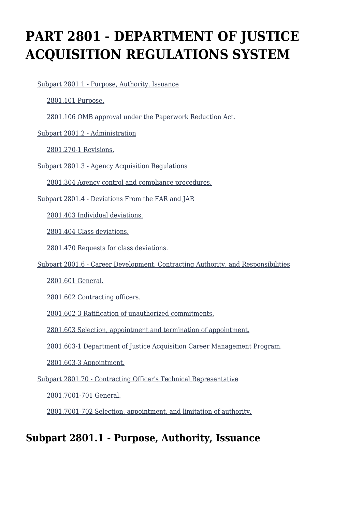# **PART 2801 - DEPARTMENT OF JUSTICE ACQUISITION REGULATIONS SYSTEM**

[Subpart 2801.1 - Purpose, Authority, Issuance](https://login.acquisition.gov/%5Brp:link:jar-part-2801%5D#Subpart_2801_1_T48_60116021)

[2801.101 Purpose.](https://login.acquisition.gov/%5Brp:link:jar-part-2801%5D#Section_2801_101_T48_6011602111)

[2801.106 OMB approval under the Paperwork Reduction Act.](https://login.acquisition.gov/%5Brp:link:jar-part-2801%5D#Section_2801_106_T48_6011602112)

[Subpart 2801.2 - Administration](https://login.acquisition.gov/%5Brp:link:jar-part-2801%5D#Subpart_2801_2_T48_60116022)

[2801.270-1 Revisions.](https://login.acquisition.gov/%5Brp:link:jar-part-2801%5D#Section_2801_270_1_T48_6011602211)

[Subpart 2801.3 - Agency Acquisition Regulations](https://login.acquisition.gov/%5Brp:link:jar-part-2801%5D#Subpart_2801_3_T48_60116023)

[2801.304 Agency control and compliance procedures.](https://login.acquisition.gov/%5Brp:link:jar-part-2801%5D#Section_2801_304_T48_6011602311)

[Subpart 2801.4 - Deviations From the FAR and JAR](https://login.acquisition.gov/%5Brp:link:jar-part-2801%5D#Subpart_2801_4_T48_60116024)

[2801.403 Individual deviations.](https://login.acquisition.gov/%5Brp:link:jar-part-2801%5D#Section_2801_403_T48_6011602411)

[2801.404 Class deviations.](https://login.acquisition.gov/%5Brp:link:jar-part-2801%5D#Section_2801_404_T48_6011602412)

[2801.470 Requests for class deviations.](https://login.acquisition.gov/%5Brp:link:jar-part-2801%5D#Section_2801_470_T48_6011602413)

[Subpart 2801.6 - Career Development, Contracting Authority, and Responsibilities](https://login.acquisition.gov/%5Brp:link:jar-part-2801%5D#Subpart_2801_6_T48_60116025)

[2801.601 General.](https://login.acquisition.gov/%5Brp:link:jar-part-2801%5D#Section_2801_601_T48_6011602511)

[2801.602 Contracting officers.](https://login.acquisition.gov/%5Brp:link:jar-part-2801%5D#Section_2801_602_T48_6011602512)

[2801.602-3 Ratification of unauthorized commitments.](https://login.acquisition.gov/%5Brp:link:jar-part-2801%5D#Section_2801_602_3_T48_6011602513)

[2801.603 Selection, appointment and termination of appointment.](https://login.acquisition.gov/%5Brp:link:jar-part-2801%5D#Section_2801_603_T48_6011602514)

[2801.603-1 Department of Justice Acquisition Career Management Program.](https://login.acquisition.gov/%5Brp:link:jar-part-2801%5D#Section_2801_603_1_T48_6011602515)

[2801.603-3 Appointment.](https://login.acquisition.gov/%5Brp:link:jar-part-2801%5D#Section_2801_603_3_T48_6011602516)

[Subpart 2801.70 - Contracting Officer's Technical Representative](https://login.acquisition.gov/%5Brp:link:jar-part-2801%5D#Subpart_2801_70_T48_60116026)

[2801.7001-701 General.](https://login.acquisition.gov/%5Brp:link:jar-part-2801%5D#Section_2801_7001_701_T48_6011602611)

[2801.7001-702 Selection, appointment, and limitation of authority.](https://login.acquisition.gov/%5Brp:link:jar-part-2801%5D#Section_2801_7001_702_T48_6011602612)

# **Subpart 2801.1 - Purpose, Authority, Issuance**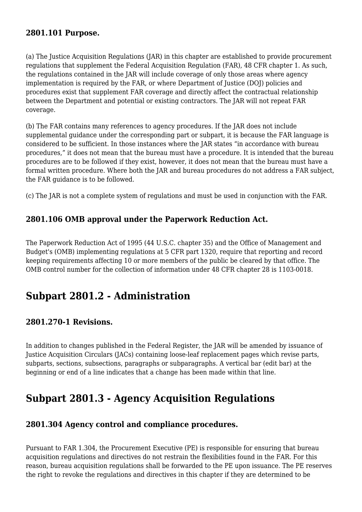# **2801.101 Purpose.**

(a) The Justice Acquisition Regulations (JAR) in this chapter are established to provide procurement regulations that supplement the Federal Acquisition Regulation (FAR), 48 CFR chapter 1. As such, the regulations contained in the JAR will include coverage of only those areas where agency implementation is required by the FAR, or where Department of Justice (DOJ) policies and procedures exist that supplement FAR coverage and directly affect the contractual relationship between the Department and potential or existing contractors. The JAR will not repeat FAR coverage.

(b) The FAR contains many references to agency procedures. If the JAR does not include supplemental guidance under the corresponding part or subpart, it is because the FAR language is considered to be sufficient. In those instances where the JAR states "in accordance with bureau procedures," it does not mean that the bureau must have a procedure. It is intended that the bureau procedures are to be followed if they exist, however, it does not mean that the bureau must have a formal written procedure. Where both the JAR and bureau procedures do not address a FAR subject, the FAR guidance is to be followed.

(c) The JAR is not a complete system of regulations and must be used in conjunction with the FAR.

### **2801.106 OMB approval under the Paperwork Reduction Act.**

The Paperwork Reduction Act of 1995 (44 U.S.C. chapter 35) and the Office of Management and Budget's (OMB) implementing regulations at 5 CFR part 1320, require that reporting and record keeping requirements affecting 10 or more members of the public be cleared by that office. The OMB control number for the collection of information under 48 CFR chapter 28 is 1103-0018.

# **Subpart 2801.2 - Administration**

#### **2801.270-1 Revisions.**

In addition to changes published in the Federal Register, the JAR will be amended by issuance of Justice Acquisition Circulars (JACs) containing loose-leaf replacement pages which revise parts, subparts, sections, subsections, paragraphs or subparagraphs. A vertical bar (edit bar) at the beginning or end of a line indicates that a change has been made within that line.

# **Subpart 2801.3 - Agency Acquisition Regulations**

#### **2801.304 Agency control and compliance procedures.**

Pursuant to FAR 1.304, the Procurement Executive (PE) is responsible for ensuring that bureau acquisition regulations and directives do not restrain the flexibilities found in the FAR. For this reason, bureau acquisition regulations shall be forwarded to the PE upon issuance. The PE reserves the right to revoke the regulations and directives in this chapter if they are determined to be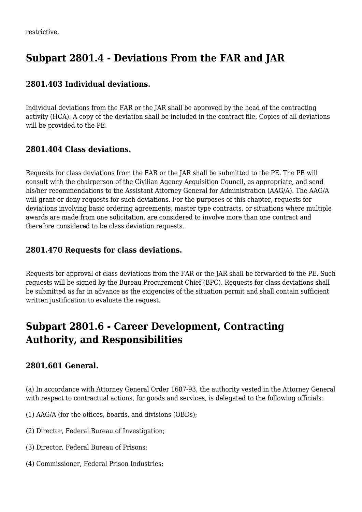# **Subpart 2801.4 - Deviations From the FAR and JAR**

### **2801.403 Individual deviations.**

Individual deviations from the FAR or the JAR shall be approved by the head of the contracting activity (HCA). A copy of the deviation shall be included in the contract file. Copies of all deviations will be provided to the PE.

# **2801.404 Class deviations.**

Requests for class deviations from the FAR or the JAR shall be submitted to the PE. The PE will consult with the chairperson of the Civilian Agency Acquisition Council, as appropriate, and send his/her recommendations to the Assistant Attorney General for Administration (AAG/A). The AAG/A will grant or deny requests for such deviations. For the purposes of this chapter, requests for deviations involving basic ordering agreements, master type contracts, or situations where multiple awards are made from one solicitation, are considered to involve more than one contract and therefore considered to be class deviation requests.

#### **2801.470 Requests for class deviations.**

Requests for approval of class deviations from the FAR or the JAR shall be forwarded to the PE. Such requests will be signed by the Bureau Procurement Chief (BPC). Requests for class deviations shall be submitted as far in advance as the exigencies of the situation permit and shall contain sufficient written justification to evaluate the request.

# **Subpart 2801.6 - Career Development, Contracting Authority, and Responsibilities**

# **2801.601 General.**

(a) In accordance with Attorney General Order 1687-93, the authority vested in the Attorney General with respect to contractual actions, for goods and services, is delegated to the following officials:

(1) AAG/A (for the offices, boards, and divisions (OBDs);

- (2) Director, Federal Bureau of Investigation;
- (3) Director, Federal Bureau of Prisons;
- (4) Commissioner, Federal Prison Industries;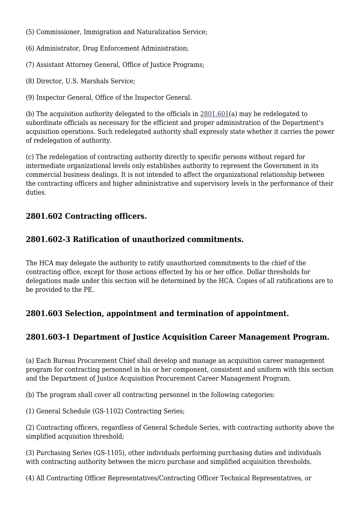- (5) Commissioner, Immigration and Naturalization Service;
- (6) Administrator, Drug Enforcement Administration;
- (7) Assistant Attorney General, Office of Justice Programs;
- (8) Director, U.S. Marshals Service;
- (9) Inspector General, Office of the Inspector General.

(b) The acquisition authority delegated to the officials in [2801.601\(](https://login.acquisition.gov/%5Brp:link:jar-part-2801%5D#Section_2801_601_T48_6011602511)a) may be redelegated to subordinate officials as necessary for the efficient and proper administration of the Department's acquisition operations. Such redelegated authority shall expressly state whether it carries the power of redelegation of authority.

(c) The redelegation of contracting authority directly to specific persons without regard for intermediate organizational levels only establishes authority to represent the Government in its commercial business dealings. It is not intended to affect the organizational relationship between the contracting officers and higher administrative and supervisory levels in the performance of their duties.

### **2801.602 Contracting officers.**

#### **2801.602-3 Ratification of unauthorized commitments.**

The HCA may delegate the authority to ratify unauthorized commitments to the chief of the contracting office, except for those actions effected by his or her office. Dollar thresholds for delegations made under this section will be determined by the HCA. Copies of all ratifications are to be provided to the PE.

# **2801.603 Selection, appointment and termination of appointment.**

# **2801.603-1 Department of Justice Acquisition Career Management Program.**

(a) Each Bureau Procurement Chief shall develop and manage an acquisition career management program for contracting personnel in his or her component, consistent and uniform with this section and the Department of Justice Acquisition Procurement Career Management Program.

(b) The program shall cover all contracting personnel in the following categories:

(1) General Schedule (GS-1102) Contracting Series;

(2) Contracting officers, regardless of General Schedule Series, with contracting authority above the simplified acquisition threshold;

(3) Purchasing Series (GS-1105), other individuals performing purchasing duties and individuals with contracting authority between the micro purchase and simplified acquisition thresholds.

(4) All Contracting Officer Representatives/Contracting Officer Technical Representatives, or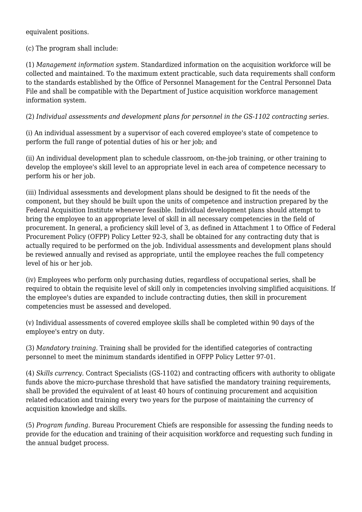equivalent positions.

(c) The program shall include:

(1) *Management information system.* Standardized information on the acquisition workforce will be collected and maintained. To the maximum extent practicable, such data requirements shall conform to the standards established by the Office of Personnel Management for the Central Personnel Data File and shall be compatible with the Department of Justice acquisition workforce management information system.

(2) *Individual assessments and development plans for personnel in the GS-1102 contracting series.*

(i) An individual assessment by a supervisor of each covered employee's state of competence to perform the full range of potential duties of his or her job; and

(ii) An individual development plan to schedule classroom, on-the-job training, or other training to develop the employee's skill level to an appropriate level in each area of competence necessary to perform his or her job.

(iii) Individual assessments and development plans should be designed to fit the needs of the component, but they should be built upon the units of competence and instruction prepared by the Federal Acquisition Institute whenever feasible. Individual development plans should attempt to bring the employee to an appropriate level of skill in all necessary competencies in the field of procurement. In general, a proficiency skill level of 3, as defined in Attachment 1 to Office of Federal Procurement Policy (OFPP) Policy Letter 92-3, shall be obtained for any contracting duty that is actually required to be performed on the job. Individual assessments and development plans should be reviewed annually and revised as appropriate, until the employee reaches the full competency level of his or her job.

(iv) Employees who perform only purchasing duties, regardless of occupational series, shall be required to obtain the requisite level of skill only in competencies involving simplified acquisitions. If the employee's duties are expanded to include contracting duties, then skill in procurement competencies must be assessed and developed.

(v) Individual assessments of covered employee skills shall be completed within 90 days of the employee's entry on duty.

(3) *Mandatory training.* Training shall be provided for the identified categories of contracting personnel to meet the minimum standards identified in OFPP Policy Letter 97-01.

(4) *Skills currency.* Contract Specialists (GS-1102) and contracting officers with authority to obligate funds above the micro-purchase threshold that have satisfied the mandatory training requirements, shall be provided the equivalent of at least 40 hours of continuing procurement and acquisition related education and training every two years for the purpose of maintaining the currency of acquisition knowledge and skills.

(5) *Program funding.* Bureau Procurement Chiefs are responsible for assessing the funding needs to provide for the education and training of their acquisition workforce and requesting such funding in the annual budget process.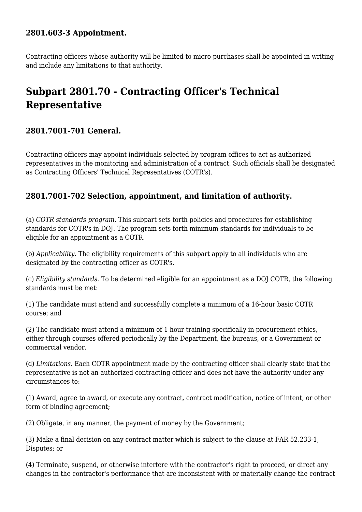# **2801.603-3 Appointment.**

Contracting officers whose authority will be limited to micro-purchases shall be appointed in writing and include any limitations to that authority.

# **Subpart 2801.70 - Contracting Officer's Technical Representative**

### **2801.7001-701 General.**

Contracting officers may appoint individuals selected by program offices to act as authorized representatives in the monitoring and administration of a contract. Such officials shall be designated as Contracting Officers' Technical Representatives (COTR's).

### **2801.7001-702 Selection, appointment, and limitation of authority.**

(a) *COTR standards program.* This subpart sets forth policies and procedures for establishing standards for COTR's in DOJ. The program sets forth minimum standards for individuals to be eligible for an appointment as a COTR.

(b) *Applicability.* The eligibility requirements of this subpart apply to all individuals who are designated by the contracting officer as COTR's.

(c) *Eligibility standards.* To be determined eligible for an appointment as a DOJ COTR, the following standards must be met:

(1) The candidate must attend and successfully complete a minimum of a 16-hour basic COTR course; and

(2) The candidate must attend a minimum of 1 hour training specifically in procurement ethics, either through courses offered periodically by the Department, the bureaus, or a Government or commercial vendor.

(d) *Limitations.* Each COTR appointment made by the contracting officer shall clearly state that the representative is not an authorized contracting officer and does not have the authority under any circumstances to:

(1) Award, agree to award, or execute any contract, contract modification, notice of intent, or other form of binding agreement;

(2) Obligate, in any manner, the payment of money by the Government;

(3) Make a final decision on any contract matter which is subject to the clause at FAR 52.233-1, Disputes; or

(4) Terminate, suspend, or otherwise interfere with the contractor's right to proceed, or direct any changes in the contractor's performance that are inconsistent with or materially change the contract